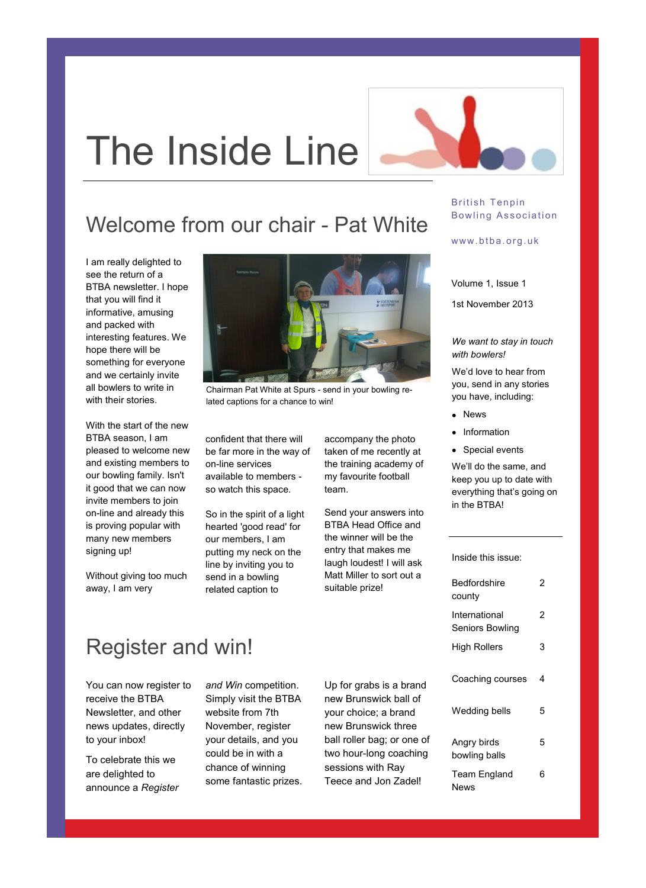# The Inside Line

### Welcome from our chair - Pat White

I am really delighted to see the return of a BTBA newsletter. I hope that you will find it informative, amusing and packed with interesting features. We hope there will be something for everyone and we certainly invite all bowlers to write in with their stories.

With the start of the new BTBA season, I am pleased to welcome new and existing members to our bowling family. Isn't it good that we can now invite members to join on-line and already this is proving popular with many new members signing up!

Without giving too much away, I am very



Chairman Pat White at Spurs - send in your bowling related captions for a chance to win!

confident that there will be far more in the way of on-line services available to members so watch this space.

So in the spirit of a light hearted 'good read' for our members, I am putting my neck on the line by inviting you to send in a bowling related caption to

accompany the photo taken of me recently at the training academy of my favourite football team.

Send your answers into BTBA Head Office and the winner will be the entry that makes me laugh loudest! I will ask Matt Miller to sort out a suitable prize!

#### British Tenpin Bowling Association

#### www.btba.org.uk

Volume 1, Issue 1

1st November 2013

*We want to stay in touch with bowlers!* 

We'd love to hear from you, send in any stories you have, including:

- News
- Information
- Special events

We'll do the same, and keep you up to date with everything that's going on in the BTBA!

Inside this issue:

| Bedfordshire<br>county           | 2 |
|----------------------------------|---|
| International<br>Seniors Bowling | 2 |
| High Rollers                     | 3 |
| Coaching courses                 | 4 |
| Wedding bells                    | 5 |
| Angry birds<br>bowling balls     | 5 |
| Team England<br>News             | 6 |

### Register and win!

You can now register to receive the BTBA Newsletter, and other news updates, directly to your inbox!

To celebrate this we are delighted to announce a *Register* 

*and Win* competition. Simply visit the BTBA website from 7th November, register your details, and you could be in with a chance of winning some fantastic prizes.

Up for grabs is a brand new Brunswick ball of your choice; a brand new Brunswick three ball roller bag; or one of two hour-long coaching sessions with Ray Teece and Jon Zadel!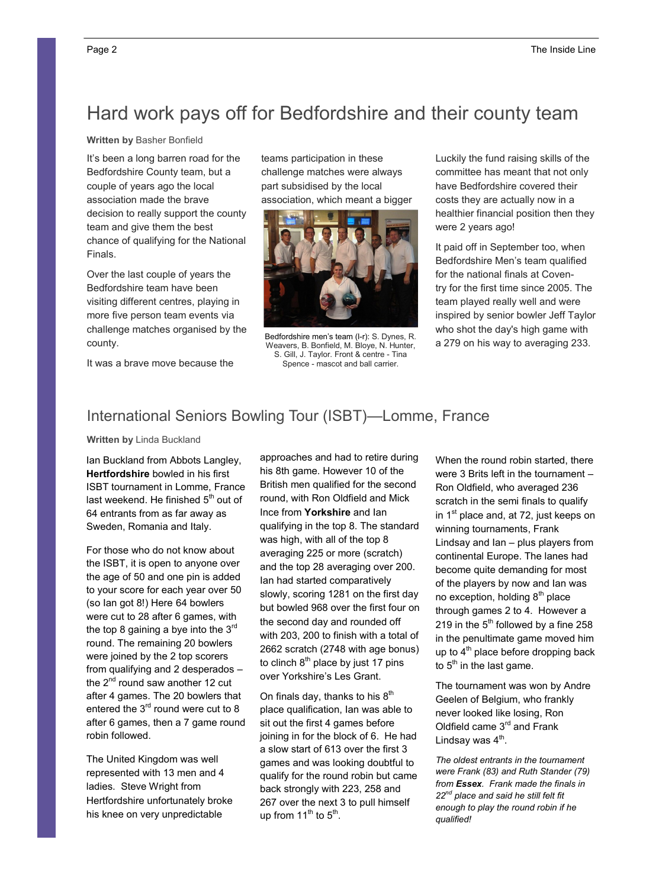### Hard work pays off for Bedfordshire and their county team

**Written by** Basher Bonfield

It's been a long barren road for the Bedfordshire County team, but a couple of years ago the local association made the brave decision to really support the county team and give them the best chance of qualifying for the National Finals.

Over the last couple of years the Bedfordshire team have been visiting different centres, playing in more five person team events via challenge matches organised by the county.

It was a brave move because the

teams participation in these challenge matches were always part subsidised by the local association, which meant a bigger



Bedfordshire men's team (l-r): S. Dynes, R. Weavers, B. Bonfield, M. Bloye, N. Hunter, S. Gill, J. Taylor. Front & centre - Tina Spence - mascot and ball carrier.

Luckily the fund raising skills of the committee has meant that not only have Bedfordshire covered their costs they are actually now in a healthier financial position then they were 2 years ago!

It paid off in September too, when Bedfordshire Men's team qualified for the national finals at Coventry for the first time since 2005. The team played really well and were inspired by senior bowler Jeff Taylor who shot the day's high game with a 279 on his way to averaging 233.

### International Seniors Bowling Tour (ISBT)—Lomme, France

**Written by** Linda Buckland

Ian Buckland from Abbots Langley, **Hertfordshire** bowled in his first ISBT tournament in Lomme, France last weekend. He finished  $5<sup>th</sup>$  out of 64 entrants from as far away as Sweden, Romania and Italy.

For those who do not know about the ISBT, it is open to anyone over the age of 50 and one pin is added to your score for each year over 50 (so Ian got 8!) Here 64 bowlers were cut to 28 after 6 games, with the top 8 gaining a bye into the  $3<sup>rd</sup>$ round. The remaining 20 bowlers were joined by the 2 top scorers from qualifying and 2 desperados – the  $2^{nd}$  round saw another 12 cut after 4 games. The 20 bowlers that entered the 3<sup>rd</sup> round were cut to 8 after 6 games, then a 7 game round robin followed.

The United Kingdom was well represented with 13 men and 4 ladies. Steve Wright from Hertfordshire unfortunately broke his knee on very unpredictable

approaches and had to retire during his 8th game. However 10 of the British men qualified for the second round, with Ron Oldfield and Mick Ince from **Yorkshire** and Ian qualifying in the top 8. The standard was high, with all of the top 8 averaging 225 or more (scratch) and the top 28 averaging over 200. Ian had started comparatively slowly, scoring 1281 on the first day but bowled 968 over the first four on the second day and rounded off with 203, 200 to finish with a total of 2662 scratch (2748 with age bonus) to clinch  $8<sup>th</sup>$  place by just 17 pins over Yorkshire's Les Grant.

On finals day, thanks to his  $8<sup>th</sup>$ place qualification, Ian was able to sit out the first 4 games before joining in for the block of 6. He had a slow start of 613 over the first 3 games and was looking doubtful to qualify for the round robin but came back strongly with 223, 258 and 267 over the next 3 to pull himself up from  $11^{th}$  to  $5^{th}$ .

When the round robin started, there were 3 Brits left in the tournament – Ron Oldfield, who averaged 236 scratch in the semi finals to qualify in  $1<sup>st</sup>$  place and, at 72, just keeps on winning tournaments, Frank Lindsay and Ian – plus players from continental Europe. The lanes had become quite demanding for most of the players by now and Ian was no exception, holding  $8<sup>th</sup>$  place through games 2 to 4. However a 219 in the  $5<sup>th</sup>$  followed by a fine 258 in the penultimate game moved him up to  $4<sup>th</sup>$  place before dropping back to  $5<sup>th</sup>$  in the last game.

The tournament was won by Andre Geelen of Belgium, who frankly never looked like losing, Ron Oldfield came 3<sup>rd</sup> and Frank Lindsay was  $4<sup>th</sup>$ .

*The oldest entrants in the tournament were Frank (83) and Ruth Stander (79) from Essex. Frank made the finals in 22nd place and said he still felt fit enough to play the round robin if he qualified!*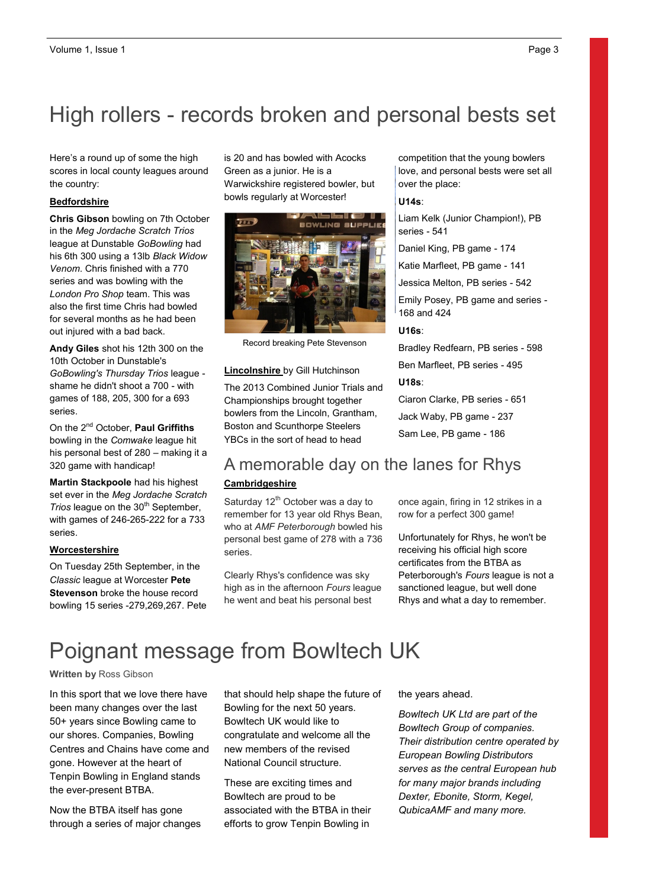### High rollers - records broken and personal bests set

Here's a round up of some the high One benefit of using your newsletter the country: scores in local county leagues around

#### as a promotional tool is that you can **Bedfordshire**

**Chris Gibson** bowling on 7th October in the *Meg Jordache Scratch Trios* his 6th 300 using a 13lb *Black Widow* Venom. Chris finished with a 770 series and was bowling with the *London Pro Shop* team. This was also the first time Chris had bowled out injured with a bad back. league at Dunstable *GoBowling* had for several months as he had been

**Andy Giles** shot his 12th 300 on the Finally once once the real recording the 10th October in Dunstable's GoBowling's Thursday Trios league shame he didn't shoot a 700 - with games of 188, 205, 300 for a 693 series.

his personal best of 280 – making it a On the 2nd October, **Paul Griffiths**  bowling in the *Comwake* league hit 320 game with handicap!

**Martin Stackpoole** had his highest set ever in the *Meg Jordache Scratch Trios* league on the 30<sup>th</sup> September, with games of 246-265-222 for a 733 series.

#### $$

On Tuesday 25th September, in the **Classic league at Worcester Pete** If the newsletter is distributed inter-bowling 15 series -279,269,267. Pete **Stevenson** broke the house record

is 20 and has bowled with Acocks Green as a junior. He is a bowls regularly at Worcester! Warwickshire registered bowler, but



Record breaking Pete Stevenson

### and post it. **Lincolnshire** by Gill Hutchinson

The 2013 Combined Junior Trials and Championships brought together bowlers from the Lincoln, Grantham, Boston and Scunthorpe Steelers YBCs in the sort of head to head

competition that the young bowlers love, and personal bests were set all over the place:

#### **U14s**:

Liam Kelk (Junior Champion!), PB series - 541

Daniel King, PB game - 174

Katie Marfleet, PB game - 141

Jessica Melton, PB series - 542

Emily Posey, PB game and series - 168 and 424

#### U16s:

Bradley Redfearn, PB series - 598 Ben Marfleet, PB series - 495

#### **U18s**:

Ciaron Clarke, PB series - 651 Jack Waby, PB game - 237 Sam Lee, PB game - 186

### A memorable day on the lanes for Rhys **Cambridgeshire**

Saturday 12<sup>th</sup> October was a day to remember for 13 year old Rhys Bean, who at *AMF Peterborough* bowled his personal best game of 278 with a 736 series.

Clearly Rhys's confidence was sky high as in the afternoon *Fours* league he went and beat his personal best

once again, firing in 12 strikes in a row for a perfect 300 game!

Unfortunately for Rhys, he won't be receiving his official high score certificates from the BTBA as Peterborough's *Fours* league is not a sanctioned league, but well done Rhys and what a day to remember.

### Poignant message from Bowltech UK

#### **Written by** Ross Gibson

In this sport that we love there have been many changes over the last 50+ years since Bowling came to our shores. Companies, Bowling Centres and Chains have come and gone. However at the heart of Tenpin Bowling in England stands the ever-present BTBA.

Now the BTBA itself has gone through a series of major changes that should help shape the future of Bowling for the next 50 years. Bowltech UK would like to congratulate and welcome all the new members of the revised National Council structure.

These are exciting times and Bowltech are proud to be associated with the BTBA in their efforts to grow Tenpin Bowling in

the years ahead.

*Bowltech UK Ltd are part of the Bowltech Group of companies. Their distribution centre operated by European Bowling Distributors serves as the central European hub for many major brands including Dexter, Ebonite, Storm, Kegel, QubicaAMF and many more.*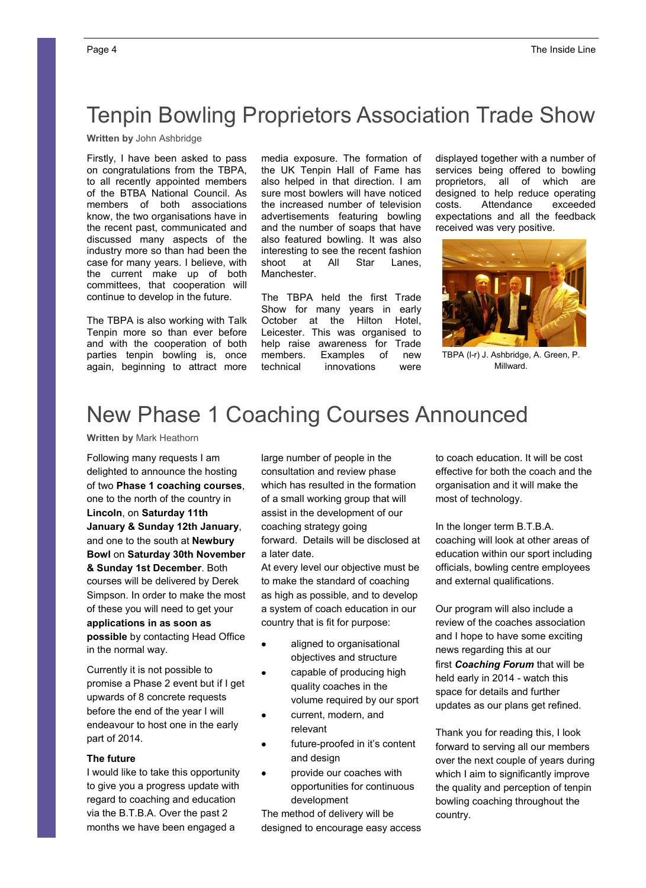# Tenpin Bowling Proprietors Association Trade Show

**Written by** John Ashbridge

Firstly, I have been asked to pass on congratulations from the TBPA, to all recently appointed members of the BTBA National Council. As members of both associations know, the two organisations have in the recent past, communicated and discussed many aspects of the industry more so than had been the case for many years. I believe, with the current make up of both committees, that cooperation will continue to develop in the future.

The TBPA is also working with Talk Tenpin more so than ever before and with the cooperation of both parties tenpin bowling is, once again, beginning to attract more media exposure. The formation of the UK Tenpin Hall of Fame has also helped in that direction. I am sure most bowlers will have noticed the increased number of television advertisements featuring bowling and the number of soaps that have also featured bowling. It was also interesting to see the recent fashion shoot at All Star Lanes, Manchester.

The TBPA held the first Trade Show for many years in early October at the Hilton Hotel, Leicester. This was organised to help raise awareness for Trade members. Examples of new technical innovations were

displayed together with a number of services being offered to bowling proprietors, all of which are designed to help reduce operating costs. Attendance exceeded expectations and all the feedback received was very positive.



TBPA (l-r) J. Ashbridge, A. Green, P. Millward.

### New Phase 1 Coaching Courses Announced

**Written by** Mark Heathorn

Following many requests I am delighted to announce the hosting of two **Phase 1 coaching courses**, one to the north of the country in **Lincoln**, on **Saturday 11th January & Sunday 12th January**, and one to the south at **Newbury Bowl** on **Saturday 30th November & Sunday 1st December**. Both courses will be delivered by Derek Simpson. In order to make the most of these you will need to get your **applications in as soon as possible** by contacting Head Office in the normal way.

Currently it is not possible to promise a Phase 2 event but if I get upwards of 8 concrete requests before the end of the year I will endeavour to host one in the early part of 2014.

#### **The future**

I would like to take this opportunity to give you a progress update with regard to coaching and education via the B.T.B.A. Over the past 2 months we have been engaged a

large number of people in the consultation and review phase which has resulted in the formation of a small working group that will assist in the development of our coaching strategy going forward. Details will be disclosed at a later date.

At every level our objective must be to make the standard of coaching as high as possible, and to develop a system of coach education in our country that is fit for purpose:

- aligned to organisational  $\bullet$ objectives and structure
- capable of producing high  $\bullet$ quality coaches in the volume required by our sport
- current, modern, and relevant
- future-proofed in it's content and design
- provide our coaches with  $\bullet$ opportunities for continuous development

The method of delivery will be designed to encourage easy access to coach education. It will be cost effective for both the coach and the organisation and it will make the most of technology.

In the longer term B.T.B.A. coaching will look at other areas of education within our sport including officials, bowling centre employees and external qualifications.

Our program will also include a review of the coaches association and I hope to have some exciting news regarding this at our first *Coaching Forum* that will be held early in 2014 - watch this space for details and further updates as our plans get refined.

Thank you for reading this, I look forward to serving all our members over the next couple of years during which I aim to significantly improve the quality and perception of tenpin bowling coaching throughout the country.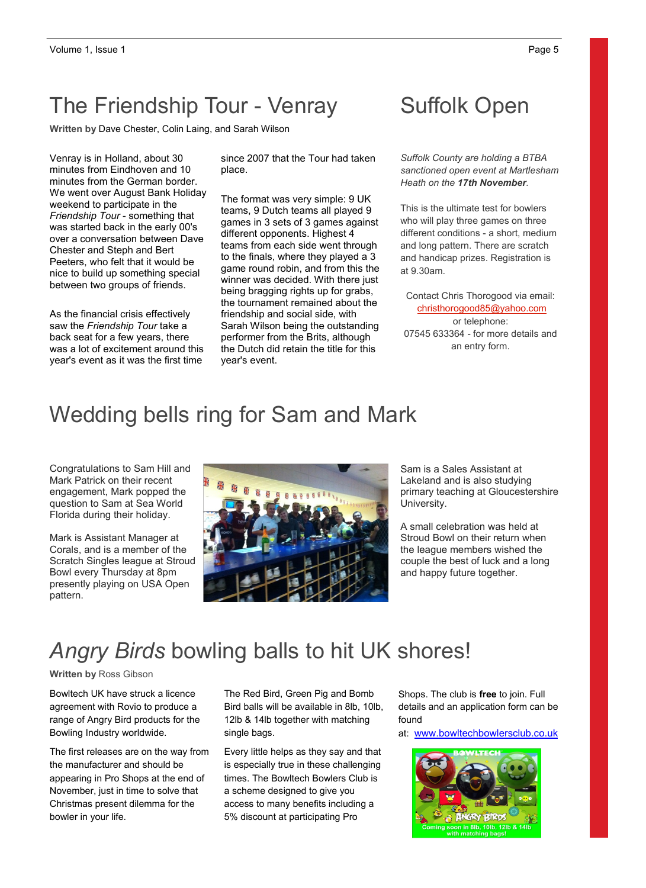### The Friendship Tour - Venray

**Written by** Dave Chester, Colin Laing, and Sarah Wilson

Venray is in Holland, about 30 minutes from Eindhoven and 10 minutes from the German border. We went over August Bank Holiday weekend to participate in the *Friendship Tour* - something that was started back in the early 00's over a conversation between Dave Chester and Steph and Bert Peeters, who felt that it would be nice to build up something special between two groups of friends.

As the financial crisis effectively saw the *Friendship Tour* take a back seat for a few years, there was a lot of excitement around this year's event as it was the first time

since 2007 that the Tour had taken place.

The format was very simple: 9 UK teams, 9 Dutch teams all played 9 games in 3 sets of 3 games against different opponents. Highest 4 teams from each side went through to the finals, where they played a 3 game round robin, and from this the winner was decided. With there just being bragging rights up for grabs, the tournament remained about the friendship and social side, with Sarah Wilson being the outstanding performer from the Brits, although the Dutch did retain the title for this year's event.

### Suffolk Open

*Suffolk County are holding a BTBA sanctioned open event at Martlesham Heath on the 17th November.* 

This is the ultimate test for bowlers who will play three games on three different conditions - a short, medium and long pattern. There are scratch and handicap prizes. Registration is at 9.30am.

Contact Chris Thorogood via email: christhorogood85@yahoo.com or telephone: 07545 633364 - for more details and an entry form.

### Wedding bells ring for Sam and Mark

Congratulations to Sam Hill and Mark Patrick on their recent engagement, Mark popped the question to Sam at Sea World Florida during their holiday.

Mark is Assistant Manager at Corals, and is a member of the Scratch Singles league at Stroud Bowl every Thursday at 8pm presently playing on USA Open pattern.



Sam is a Sales Assistant at Lakeland and is also studying primary teaching at Gloucestershire University.

A small celebration was held at Stroud Bowl on their return when the league members wished the couple the best of luck and a long and happy future together.

### *Angry Birds* bowling balls to hit UK shores!

**Written by** Ross Gibson

Bowltech UK have struck a licence agreement with Rovio to produce a range of Angry Bird products for the Bowling Industry worldwide.

The first releases are on the way from the manufacturer and should be appearing in Pro Shops at the end of November, just in time to solve that Christmas present dilemma for the bowler in your life.

The Red Bird, Green Pig and Bomb Bird balls will be available in 8lb, 10lb, 12lb & 14lb together with matching single bags.

Every little helps as they say and that is especially true in these challenging times. The Bowltech Bowlers Club is a scheme designed to give you access to many benefits including a 5% discount at participating Pro

Shops. The club is **free** to join. Full details and an application form can be found

at: www.bowltechbowlersclub.co.uk